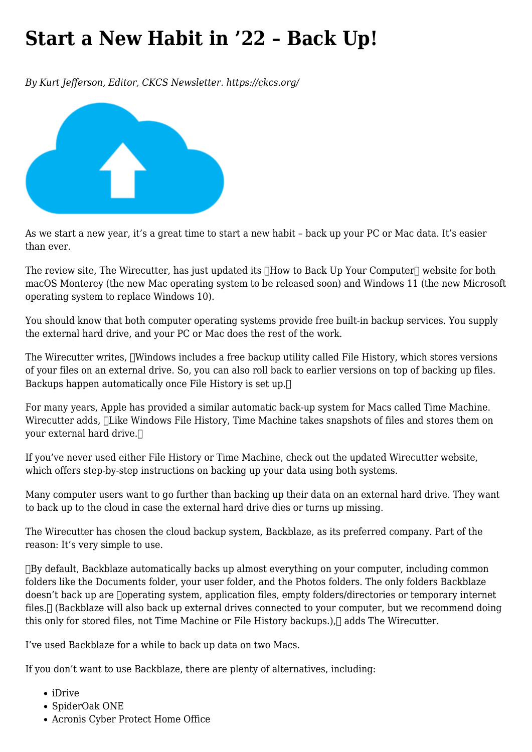## **[Start a New Habit in '22 – Back Up!](https://www.melbpc.org.au/start-a-new-habit-in-22-back-up/)**

*By Kurt Jefferson, Editor, CKCS Newsletter. https://ckcs.org/*



As we start a new year, it's a great time to start a new habit – back up your PC or Mac data. It's easier than ever.

The review site, The Wirecutter, has just updated its  $\Box$  How to Back Up Your Computer $\Box$  website for both macOS Monterey (the new Mac operating system to be released soon) and Windows 11 (the new Microsoft operating system to replace Windows 10).

You should know that both computer operating systems provide free built-in backup services. You supply the external hard drive, and your PC or Mac does the rest of the work.

The Wirecutter writes,  $\Box$ Windows includes a free backup utility called File History, which stores versions of your files on an external drive. So, you can also roll back to earlier versions on top of backing up files. Backups happen automatically once File History is set up.

For many years, Apple has provided a similar automatic back-up system for Macs called Time Machine. Wirecutter adds, **Hilke Windows File History**, Time Machine takes snapshots of files and stores them on your external hard drive.

If you've never used either File History or Time Machine, check out the updated Wirecutter website, which offers step-by-step instructions on backing up your data using both systems.

Many computer users want to go further than backing up their data on an external hard drive. They want to back up to the cloud in case the external hard drive dies or turns up missing.

The Wirecutter has chosen the cloud backup system, Backblaze, as its preferred company. Part of the reason: It's very simple to use.

By default, Backblaze automatically backs up almost everything on your computer, including common folders like the Documents folder, your user folder, and the Photos folders. The only folders Backblaze doesn't back up are  $\Box$ operating system, application files, empty folders/directories or temporary internet files. [] (Backblaze will also back up external drives connected to your computer, but we recommend doing this only for stored files, not Time Machine or File History backups.), adds The Wirecutter.

I've used Backblaze for a while to back up data on two Macs.

If you don't want to use Backblaze, there are plenty of alternatives, including:

- iDrive
- SpiderOak ONE
- Acronis Cyber Protect Home Office